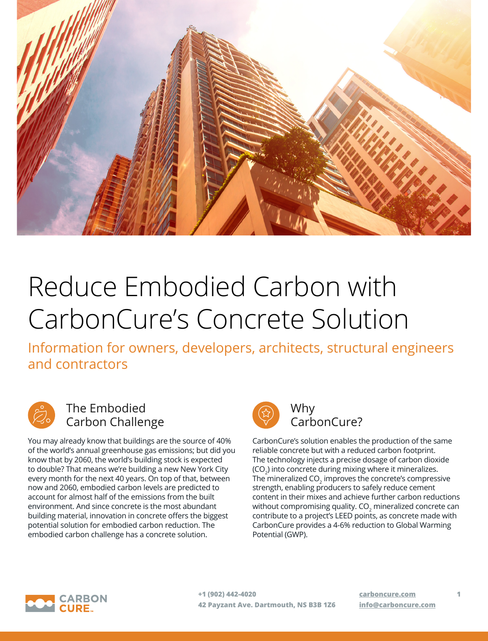

# Reduce Embodied Carbon with CarbonCure's Concrete Solution

Information for owners, developers, architects, structural engineers and contractors



### The Embodied Carbon Challenge

You may already know that buildings are the source of 40% of the world's annual greenhouse gas emissions; but did you know that by 2060, the world's building stock is expected to double? That means we're building a new New York City every month for the next 40 years. On top of that, between now and 2060, embodied carbon levels are predicted to account for almost half of the emissions from the built environment. And since concrete is the most abundant building material, innovation in concrete offers the biggest potential solution for embodied carbon reduction. The embodied carbon challenge has a concrete solution.



## CarbonCure?

CarbonCure's solution enables the production of the same reliable concrete but with a reduced carbon footprint. The technology injects a precise dosage of carbon dioxide (CO $_{2}$ ) into concrete during mixing where it mineralizes. The mineralized CO $_2$  improves the concrete's compressive strength, enabling producers to safely reduce cement content in their mixes and achieve further carbon reductions without compromising quality. CO $_{\rm 2}$  mineralized concrete can contribute to a project's LEED points, as concrete made with CarbonCure provides a 4-6% reduction to Global Warming Potential (GWP).